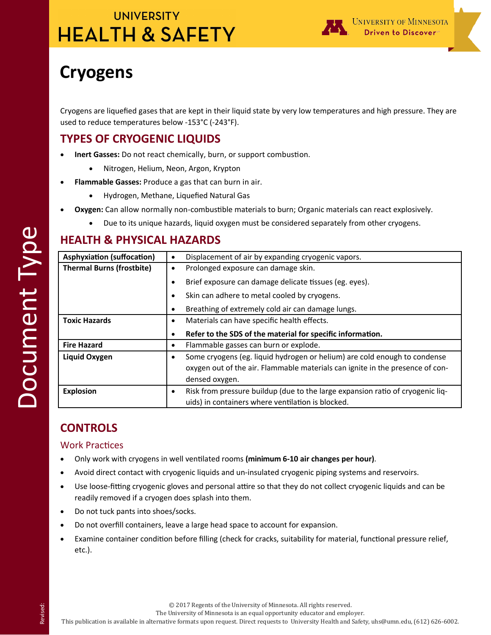

# **Cryogens**

Cryogens are liquefied gases that are kept in their liquid state by very low temperatures and high pressure. They are used to reduce temperatures below -153°C (-243°F).

### **TYPES OF CRYOGENIC LIQUIDS**

- **Inert Gasses:** Do not react chemically, burn, or support combustion.
	- Nitrogen, Helium, Neon, Argon, Krypton
- **Flammable Gasses:** Produce a gas that can burn in air.
	- Hydrogen, Methane, Liquefied Natural Gas
- **Oxygen:** Can allow normally non-combustible materials to burn; Organic materials can react explosively.
	- Due to its unique hazards, liquid oxygen must be considered separately from other cryogens.

### **HEALTH & PHYSICAL HAZARDS**

| <b>Asphyxiation (suffocation)</b> | ٠         | Displacement of air by expanding cryogenic vapors.                             |  |
|-----------------------------------|-----------|--------------------------------------------------------------------------------|--|
| <b>Thermal Burns (frostbite)</b>  | $\bullet$ | Prolonged exposure can damage skin.                                            |  |
|                                   | ٠         | Brief exposure can damage delicate tissues (eg. eyes).                         |  |
|                                   | $\bullet$ | Skin can adhere to metal cooled by cryogens.                                   |  |
|                                   | ٠         | Breathing of extremely cold air can damage lungs.                              |  |
| <b>Toxic Hazards</b>              | $\bullet$ | Materials can have specific health effects.                                    |  |
|                                   | ٠         | Refer to the SDS of the material for specific information.                     |  |
| <b>Fire Hazard</b>                | ٠         | Flammable gasses can burn or explode.                                          |  |
| Liquid Oxygen                     | ٠         | Some cryogens (eg. liquid hydrogen or helium) are cold enough to condense      |  |
|                                   |           | oxygen out of the air. Flammable materials can ignite in the presence of con-  |  |
|                                   |           | densed oxygen.                                                                 |  |
| <b>Explosion</b>                  | ٠         | Risk from pressure buildup (due to the large expansion ratio of cryogenic liq- |  |
|                                   |           | uids) in containers where ventilation is blocked.                              |  |

## **CONTROLS**

### Work Practices

- Only work with cryogens in well ventilated rooms **(minimum 6-10 air changes per hour)**.
- Avoid direct contact with cryogenic liquids and un-insulated cryogenic piping systems and reservoirs.
- Use loose-fitting cryogenic gloves and personal attire so that they do not collect cryogenic liquids and can be readily removed if a cryogen does splash into them.
- Do not tuck pants into shoes/socks.
- Do not overfill containers, leave a large head space to account for expansion.
- Examine container condition before filling (check for cracks, suitability for material, functional pressure relief, etc.).

The University of Minnesota is an equal opportunity educator and employer.